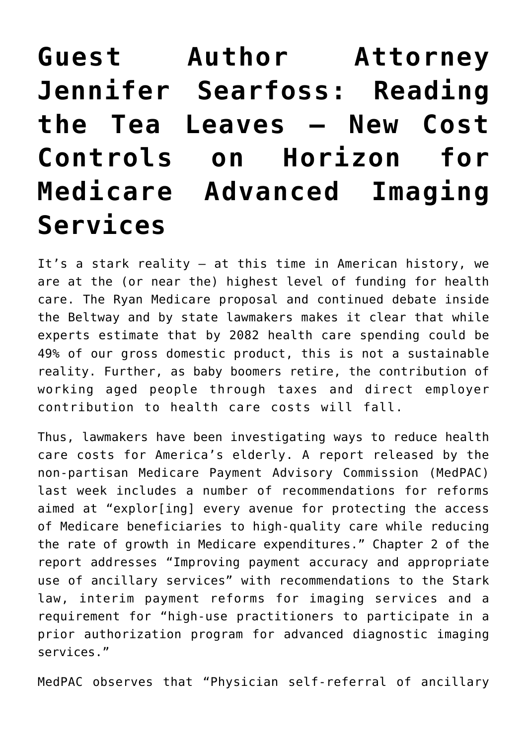## **[Guest Author Attorney](https://managemypractice.com/guest-author-attorney-jennifer-searfoss-reading-the-tea-leaves-%e2%80%93-new-cost-controls-on-horizon-for-medicare-advanced-imaging-services/) [Jennifer Searfoss: Reading](https://managemypractice.com/guest-author-attorney-jennifer-searfoss-reading-the-tea-leaves-%e2%80%93-new-cost-controls-on-horizon-for-medicare-advanced-imaging-services/) [the Tea Leaves – New Cost](https://managemypractice.com/guest-author-attorney-jennifer-searfoss-reading-the-tea-leaves-%e2%80%93-new-cost-controls-on-horizon-for-medicare-advanced-imaging-services/) [Controls on Horizon for](https://managemypractice.com/guest-author-attorney-jennifer-searfoss-reading-the-tea-leaves-%e2%80%93-new-cost-controls-on-horizon-for-medicare-advanced-imaging-services/) [Medicare Advanced Imaging](https://managemypractice.com/guest-author-attorney-jennifer-searfoss-reading-the-tea-leaves-%e2%80%93-new-cost-controls-on-horizon-for-medicare-advanced-imaging-services/) [Services](https://managemypractice.com/guest-author-attorney-jennifer-searfoss-reading-the-tea-leaves-%e2%80%93-new-cost-controls-on-horizon-for-medicare-advanced-imaging-services/)**

It's a stark reality – at this time in American history, we are at the (or near the) highest level of funding for health care. The Ryan Medicare proposal and continued debate inside the Beltway and by state lawmakers makes it clear that while experts estimate that by 2082 health care spending could be 49% of our gross domestic product, this is not a sustainable reality. Further, as baby boomers retire, the contribution of working aged people through taxes and direct employer contribution to health care costs will fall.

Thus, lawmakers have been investigating ways to reduce health care costs for America's elderly. A report released by the non-partisan Medicare Payment Advisory Commission (MedPAC) last week includes a number of recommendations for reforms aimed at "explor[ing] every avenue for protecting the access of Medicare beneficiaries to high-quality care while reducing the rate of growth in Medicare expenditures." Chapter 2 of the report addresses "Improving payment accuracy and appropriate use of ancillary services" with recommendations to the Stark law, interim payment reforms for imaging services and a requirement for "high-use practitioners to participate in a prior authorization program for advanced diagnostic imaging services."

MedPAC observes that "Physician self-referral of ancillary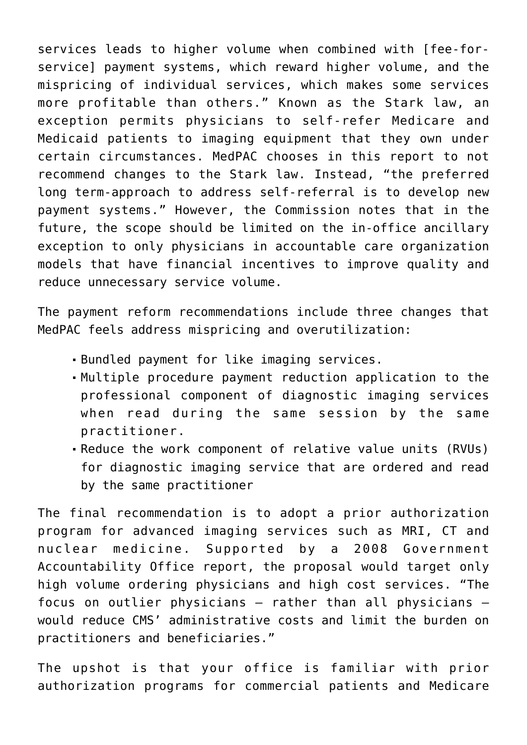services leads to higher volume when combined with [fee-forservice] payment systems, which reward higher volume, and the mispricing of individual services, which makes some services more profitable than others." Known as the Stark law, an exception permits physicians to self-refer Medicare and Medicaid patients to imaging equipment that they own under certain circumstances. MedPAC chooses in this report to not recommend changes to the Stark law. Instead, "the preferred long term-approach to address self-referral is to develop new payment systems." However, the Commission notes that in the future, the scope should be limited on the in-office ancillary exception to only physicians in accountable care organization models that have financial incentives to improve quality and reduce unnecessary service volume.

The payment reform recommendations include three changes that MedPAC feels address mispricing and overutilization:

- Bundled payment for like imaging services.
- Multiple procedure payment reduction application to the professional component of diagnostic imaging services when read during the same session by the same practitioner.
- Reduce the work component of relative value units (RVUs) for diagnostic imaging service that are ordered and read by the same practitioner

The final recommendation is to adopt a prior authorization program for advanced imaging services such as MRI, CT and nuclear medicine. Supported by a 2008 Government Accountability Office report, the proposal would target only high volume ordering physicians and high cost services. "The focus on outlier physicians – rather than all physicians – would reduce CMS' administrative costs and limit the burden on practitioners and beneficiaries."

The upshot is that your office is familiar with prior authorization programs for commercial patients and Medicare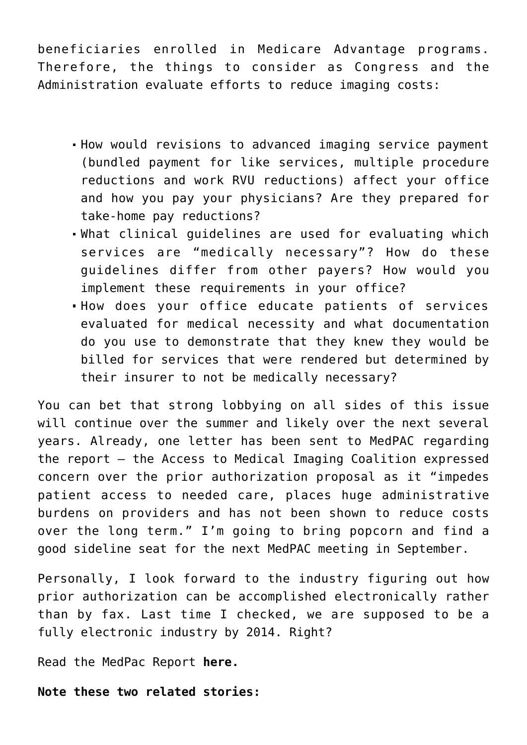beneficiaries enrolled in Medicare Advantage programs. Therefore, the things to consider as Congress and the Administration evaluate efforts to reduce imaging costs:

- How would revisions to advanced imaging service payment (bundled payment for like services, multiple procedure reductions and work RVU reductions) affect your office and how you pay your physicians? Are they prepared for take-home pay reductions?
- What clinical guidelines are used for evaluating which services are "medically necessary"? How do these guidelines differ from other payers? How would you implement these requirements in your office?
- How does your office educate patients of services evaluated for medical necessity and what documentation do you use to demonstrate that they knew they would be billed for services that were rendered but determined by their insurer to not be medically necessary?

You can bet that strong lobbying on all sides of this issue will continue over the summer and likely over the next several years. Already, one letter has been sent to MedPAC regarding the report – the Access to Medical Imaging Coalition expressed concern over the prior authorization proposal as it "impedes patient access to needed care, places huge administrative burdens on providers and has not been shown to reduce costs over the long term." I'm going to bring popcorn and find a good sideline seat for the next MedPAC meeting in September.

Personally, I look forward to the industry figuring out how prior authorization can be accomplished electronically rather than by fax. Last time I checked, we are supposed to be a fully electronic industry by 2014. Right?

Read the MedPac Report **[here.](https://managemypractice.com/wp-content/uploads/2011/06/MedPac_Report_June_2011.pdf)**

**Note these two related stories:**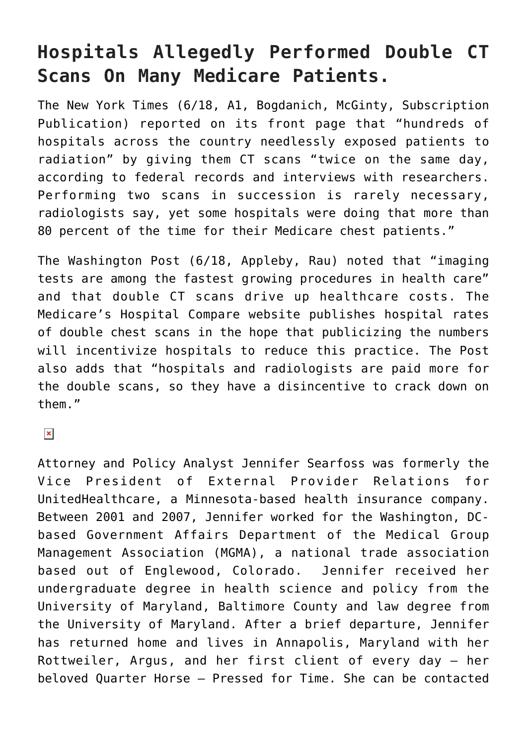## **Hospitals Allegedly Performed Double CT Scans On Many Medicare Patients.**

The [New York Times](http://mailview.custombriefings.com/mailview.aspx?m=2011062001ahla&r=1690182-b4aa&l=00c-213&t=c) (6/18, A1, Bogdanich, McGinty, Subscription Publication) reported on its front page that "hundreds of hospitals across the country needlessly exposed patients to radiation" by giving them CT scans "twice on the same day, according to federal records and interviews with researchers. Performing two scans in succession is rarely necessary, radiologists say, yet some hospitals were doing that more than 80 percent of the time for their Medicare chest patients."

The [Washington Post](http://mailview.custombriefings.com/mailview.aspx?m=2011062001ahla&r=1690182-b4aa&l=00d-15c&t=c) (6/18, Appleby, Rau) noted that "imaging tests are among the fastest growing procedures in health care" and that double CT scans drive up healthcare costs. The Medicare's Hospital Compare website publishes hospital rates of double chest scans in the hope that publicizing the numbers will incentivize hospitals to reduce this practice. The Post also adds that "hospitals and radiologists are paid more for the double scans, so they have a disincentive to crack down on them."

 $\pmb{\times}$ 

Attorney and Policy Analyst Jennifer Searfoss was formerly the Vice President of External Provider Relations for UnitedHealthcare, a Minnesota-based health insurance company. Between 2001 and 2007, Jennifer worked for the Washington, DCbased Government Affairs Department of the Medical Group Management Association (MGMA), a national trade association based out of Englewood, Colorado. Jennifer received her undergraduate degree in health science and policy from the University of Maryland, Baltimore County and law degree from the University of Maryland. After a brief departure, Jennifer has returned home and lives in Annapolis, Maryland with her Rottweiler, Argus, and her first client of every day – her beloved Quarter Horse – Pressed for Time. She can be contacted